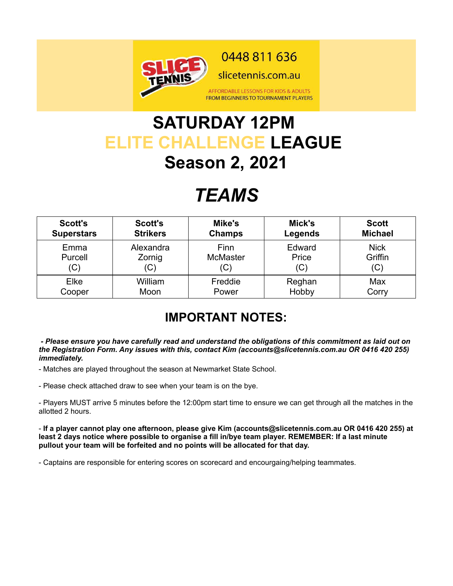

## **SATURDAY 12PM ELITE CHALLENGE LEAGUE Season 2, 2021**

# *TEAMS*

| <b>Scott's</b>    | <b>Scott's</b>  | Mike's          | Mick's  | <b>Scott</b>   |
|-------------------|-----------------|-----------------|---------|----------------|
| <b>Superstars</b> | <b>Strikers</b> | <b>Champs</b>   | Legends | <b>Michael</b> |
| Emma              | Alexandra       | Finn            | Edward  | <b>Nick</b>    |
| Purcell           | Zornig          | <b>McMaster</b> | Price   | Griffin        |
| (C)               | (C)             | ιU.             | (C)     | (C)            |
| Elke              | William         | Freddie         | Reghan  | Max            |
| Cooper            | Moon            | Power           | Hobby   | Corry          |

### **IMPORTANT NOTES:**

#### *- Please ensure you have carefully read and understand the obligations of this commitment as laid out on the Registration Form. Any issues with this, contact Kim (accounts@slicetennis.com.au OR 0416 420 255) immediately.*

- Matches are played throughout the season at Newmarket State School.

- Please check attached draw to see when your team is on the bye.

- Players MUST arrive 5 minutes before the 12:00pm start time to ensure we can get through all the matches in the allotted 2 hours.

- **If a player cannot play one afternoon, please give Kim (accounts@slicetennis.com.au OR 0416 420 255) at least 2 days notice where possible to organise a fill in/bye team player. REMEMBER: If a last minute pullout your team will be forfeited and no points will be allocated for that day.**

- Captains are responsible for entering scores on scorecard and encourgaing/helping teammates.